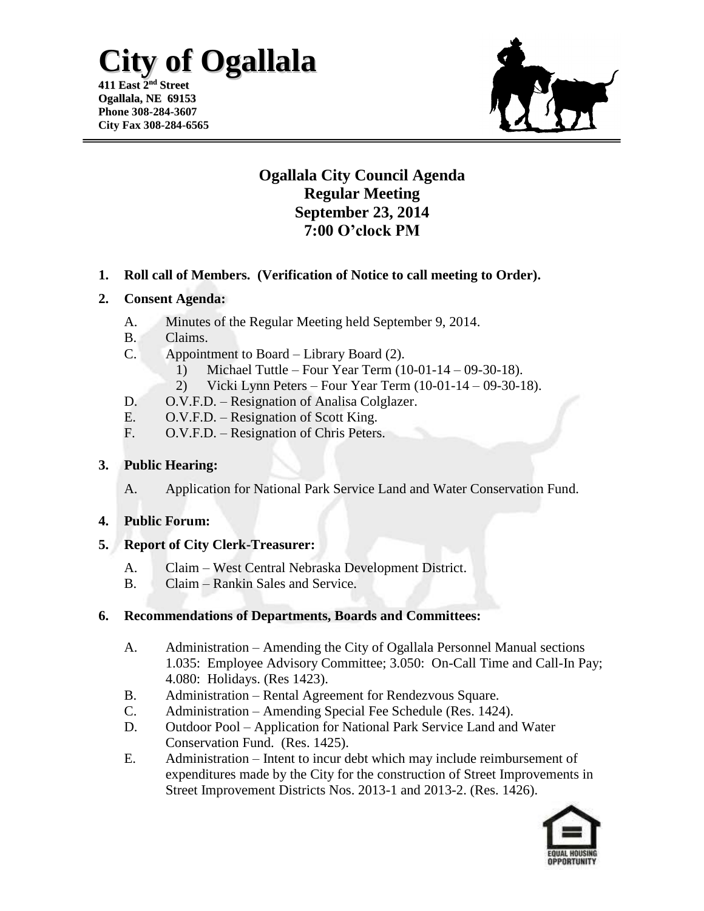# **City of Ogallala**

**411 East 2 nd Street Ogallala, NE 69153 Phone 308-284-3607 City Fax 308-284-6565**



### **Ogallala City Council Agenda Regular Meeting September 23, 2014 7:00 O'clock PM**

**1. Roll call of Members. (Verification of Notice to call meeting to Order).**

#### **2. Consent Agenda:**

- A. Minutes of the Regular Meeting held September 9, 2014.
- B. Claims.
- C. Appointment to Board Library Board (2).
	- 1) Michael Tuttle Four Year Term (10-01-14 09-30-18).
	- 2) Vicki Lynn Peters Four Year Term (10-01-14 09-30-18).
- D. O.V.F.D. Resignation of Analisa Colglazer.
- E. O.V.F.D. Resignation of Scott King.
- F. O.V.F.D. Resignation of Chris Peters.

#### **3. Public Hearing:**

A. Application for National Park Service Land and Water Conservation Fund.

#### **4. Public Forum:**

#### **5. Report of City Clerk-Treasurer:**

- A. Claim West Central Nebraska Development District.
- B. Claim Rankin Sales and Service.

#### **6. Recommendations of Departments, Boards and Committees:**

- A. Administration Amending the City of Ogallala Personnel Manual sections 1.035: Employee Advisory Committee; 3.050: On-Call Time and Call-In Pay; 4.080: Holidays. (Res 1423).
- B. Administration Rental Agreement for Rendezvous Square.
- C. Administration Amending Special Fee Schedule (Res. 1424).
- D. Outdoor Pool Application for National Park Service Land and Water Conservation Fund. (Res. 1425).
- E. Administration Intent to incur debt which may include reimbursement of expenditures made by the City for the construction of Street Improvements in Street Improvement Districts Nos. 2013-1 and 2013-2. (Res. 1426).

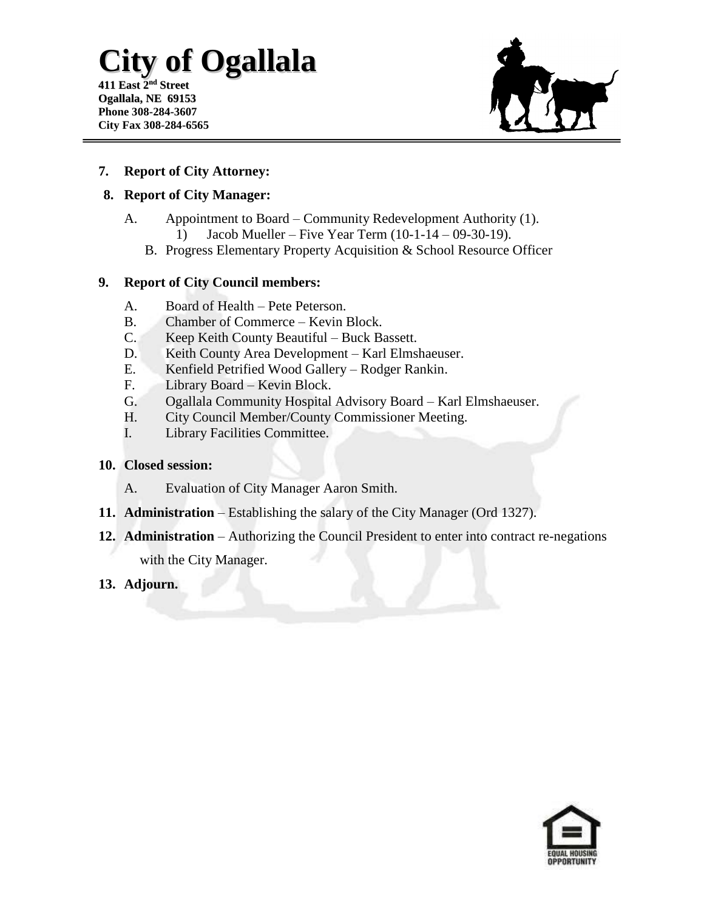# **City of Ogallala**

**411 East 2 nd Street Ogallala, NE 69153 Phone 308-284-3607 City Fax 308-284-6565**



#### **7. Report of City Attorney:**

#### **8. Report of City Manager:**

- A. Appointment to Board Community Redevelopment Authority (1). 1) Jacob Mueller – Five Year Term (10-1-14 – 09-30-19).
	- B. Progress Elementary Property Acquisition & School Resource Officer

#### **9. Report of City Council members:**

- A. Board of Health Pete Peterson.
- B. Chamber of Commerce Kevin Block.
- C. Keep Keith County Beautiful Buck Bassett.
- D. Keith County Area Development Karl Elmshaeuser.
- E. Kenfield Petrified Wood Gallery Rodger Rankin.
- F. Library Board Kevin Block.
- G. Ogallala Community Hospital Advisory Board Karl Elmshaeuser.
- H. City Council Member/County Commissioner Meeting.
- I. Library Facilities Committee.

#### **10. Closed session:**

- A. Evaluation of City Manager Aaron Smith.
- **11. Administration** Establishing the salary of the City Manager (Ord 1327).
- **12. Administration**  Authorizing the Council President to enter into contract re-negations with the City Manager.
- **13. Adjourn.**